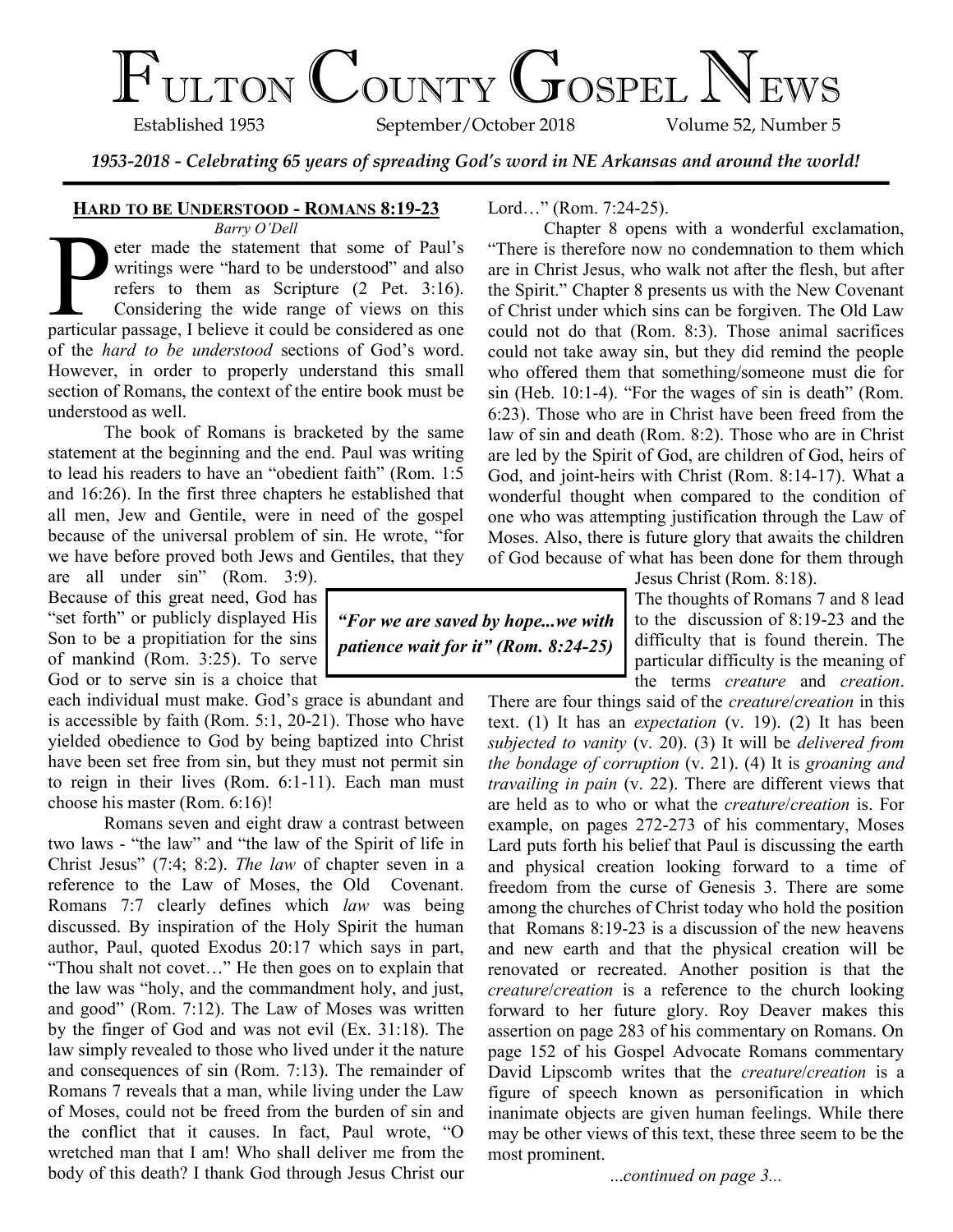# FULTON COUNTY GOSPEL NEWS

September/October 2018

*1953-2018 - Celebrating 65 years of spreading God's word in NE Arkansas and around the world!*

*"For we are saved by hope...we with patience wait for it" (Rom. 8:24-25)*

## **HARD TO BE UNDERSTOOD - ROMANS 8:19-23**

*Barry O'Dell*

Barry O'Dell<br>
eter made the statement that some of Paul's<br>
writings were "hard to be understood" and also<br>
refers to them as Scripture (2 Pet. 3:16).<br>
Considering the wide range of views on this<br>
particular passage, I beli eter made the statement that some of Paul's writings were "hard to be understood" and also refers to them as Scripture (2 Pet. 3:16). Considering the wide range of views on this of the *hard to be understood* sections of God's word. However, in order to properly understand this small section of Romans, the context of the entire book must be understood as well.

The book of Romans is bracketed by the same statement at the beginning and the end. Paul was writing to lead his readers to have an "obedient faith" (Rom. 1:5 and 16:26). In the first three chapters he established that all men, Jew and Gentile, were in need of the gospel because of the universal problem of sin. He wrote, "for we have before proved both Jews and Gentiles, that they

are all under sin" (Rom. 3:9). Because of this great need, God has "set forth" or publicly displayed His Son to be a propitiation for the sins of mankind (Rom. 3:25). To serve God or to serve sin is a choice that

each individual must make. God's grace is abundant and is accessible by faith (Rom. 5:1, 20-21). Those who have yielded obedience to God by being baptized into Christ have been set free from sin, but they must not permit sin to reign in their lives (Rom. 6:1-11). Each man must choose his master (Rom. 6:16)!

Romans seven and eight draw a contrast between two laws - "the law" and "the law of the Spirit of life in Christ Jesus" (7:4; 8:2). *The law* of chapter seven in a reference to the Law of Moses, the Old Covenant. Romans 7:7 clearly defines which *law* was being discussed. By inspiration of the Holy Spirit the human author, Paul, quoted Exodus 20:17 which says in part, "Thou shalt not covet…" He then goes on to explain that the law was "holy, and the commandment holy, and just, and good" (Rom. 7:12). The Law of Moses was written by the finger of God and was not evil (Ex. 31:18). The law simply revealed to those who lived under it the nature and consequences of sin (Rom. 7:13). The remainder of Romans 7 reveals that a man, while living under the Law of Moses, could not be freed from the burden of sin and the conflict that it causes. In fact, Paul wrote, "O wretched man that I am! Who shall deliver me from the body of this death? I thank God through Jesus Christ our Lord…" (Rom. 7:24-25).

Chapter 8 opens with a wonderful exclamation, "There is therefore now no condemnation to them which are in Christ Jesus, who walk not after the flesh, but after the Spirit." Chapter 8 presents us with the New Covenant of Christ under which sins can be forgiven. The Old Law could not do that (Rom. 8:3). Those animal sacrifices could not take away sin, but they did remind the people who offered them that something/someone must die for sin (Heb. 10:1-4). "For the wages of sin is death" (Rom. 6:23). Those who are in Christ have been freed from the law of sin and death (Rom. 8:2). Those who are in Christ are led by the Spirit of God, are children of God, heirs of God, and joint-heirs with Christ (Rom. 8:14-17). What a wonderful thought when compared to the condition of one who was attempting justification through the Law of Moses. Also, there is future glory that awaits the children of God because of what has been done for them through

Jesus Christ (Rom. 8:18).

The thoughts of Romans 7 and 8 lead to the discussion of 8:19-23 and the difficulty that is found therein. The particular difficulty is the meaning of the terms *creature* and *creation*.

There are four things said of the *creature*/*creation* in this text. (1) It has an *expectation* (v. 19). (2) It has been *subjected to vanity* (v. 20). (3) It will be *delivered from the bondage of corruption* (v. 21). (4) It is *groaning and travailing in pain* (v. 22). There are different views that are held as to who or what the *creature*/*creation* is. For example, on pages 272-273 of his commentary, Moses Lard puts forth his belief that Paul is discussing the earth and physical creation looking forward to a time of freedom from the curse of Genesis 3. There are some among the churches of Christ today who hold the position that Romans 8:19-23 is a discussion of the new heavens and new earth and that the physical creation will be renovated or recreated. Another position is that the *creature*/*creation* is a reference to the church looking forward to her future glory. Roy Deaver makes this assertion on page 283 of his commentary on Romans. On page 152 of his Gospel Advocate Romans commentary David Lipscomb writes that the *creature*/*creation* is a figure of speech known as personification in which inanimate objects are given human feelings. While there may be other views of this text, these three seem to be the most prominent.

...*continued on page 3...*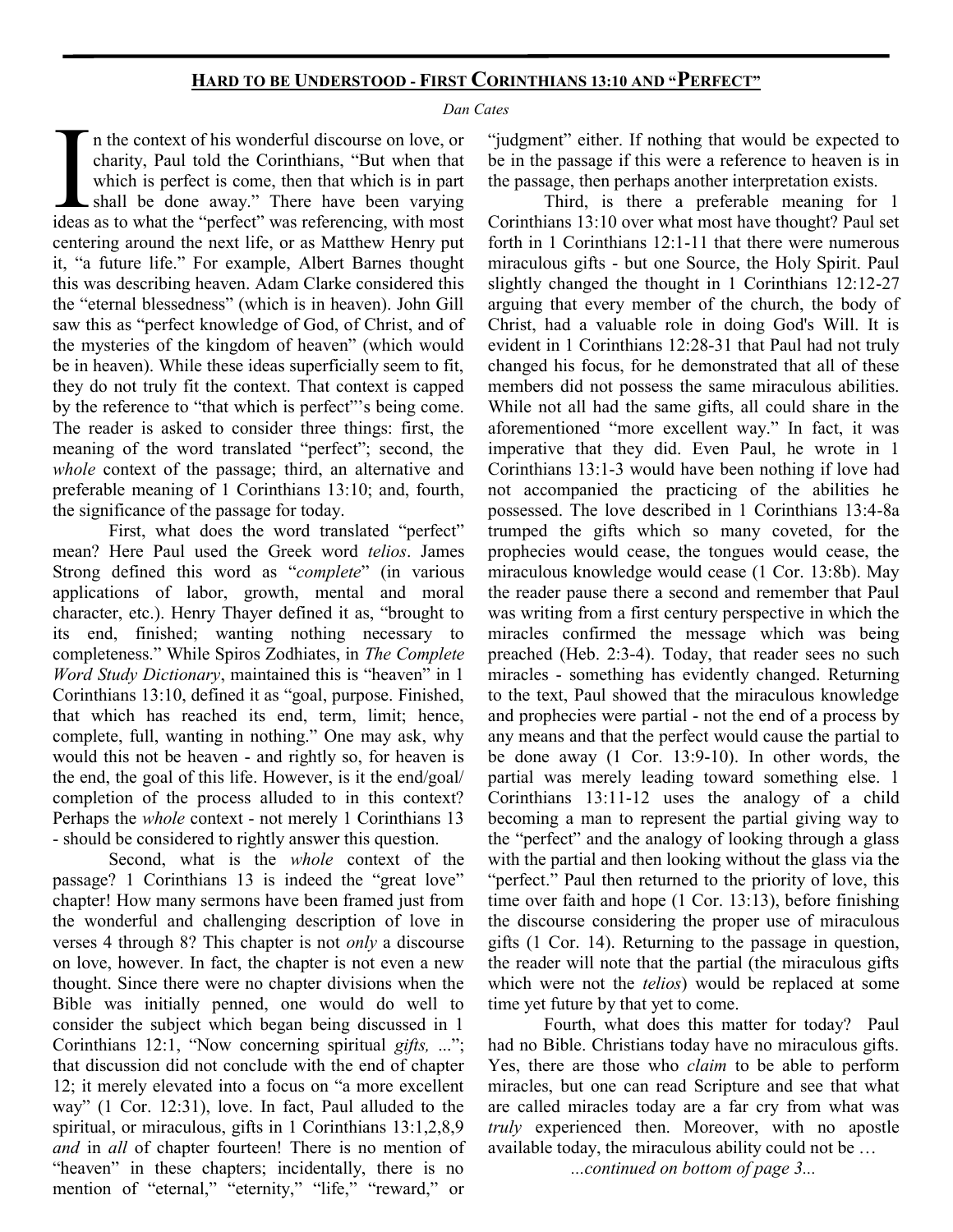## **HARD TO BE UNDERSTOOD - FIRST CORINTHIANS 13:10 AND "PERFECT"**

#### *Dan Cates*

I am the context of his wonderful discourse on love, or charity, Paul told the Corinthians, "But when that which is perfect is come, then that which is in part shall be done away." There have been varying ideas as to what n the context of his wonderful discourse on love, or charity, Paul told the Corinthians, "But when that which is perfect is come, then that which is in part shall be done away." There have been varying centering around the next life, or as Matthew Henry put it, "a future life." For example, Albert Barnes thought this was describing heaven. Adam Clarke considered this the "eternal blessedness" (which is in heaven). John Gill saw this as "perfect knowledge of God, of Christ, and of the mysteries of the kingdom of heaven" (which would be in heaven). While these ideas superficially seem to fit, they do not truly fit the context. That context is capped by the reference to "that which is perfect"'s being come. The reader is asked to consider three things: first, the meaning of the word translated "perfect"; second, the *whole* context of the passage; third, an alternative and preferable meaning of 1 Corinthians 13:10; and, fourth, the significance of the passage for today.

First, what does the word translated "perfect" mean? Here Paul used the Greek word *telios*. James Strong defined this word as "*complete*" (in various applications of labor, growth, mental and moral character, etc.). Henry Thayer defined it as, "brought to its end, finished; wanting nothing necessary to completeness." While Spiros Zodhiates, in *The Complete Word Study Dictionary*, maintained this is "heaven" in 1 Corinthians 13:10, defined it as "goal, purpose. Finished, that which has reached its end, term, limit; hence, complete, full, wanting in nothing." One may ask, why would this not be heaven - and rightly so, for heaven is the end, the goal of this life. However, is it the end/goal/ completion of the process alluded to in this context? Perhaps the *whole* context - not merely 1 Corinthians 13 - should be considered to rightly answer this question.

Second, what is the *whole* context of the passage? 1 Corinthians 13 is indeed the "great love" chapter! How many sermons have been framed just from the wonderful and challenging description of love in verses 4 through 8? This chapter is not *only* a discourse on love, however. In fact, the chapter is not even a new thought. Since there were no chapter divisions when the Bible was initially penned, one would do well to consider the subject which began being discussed in 1 Corinthians 12:1, "Now concerning spiritual *gifts,* ..."; that discussion did not conclude with the end of chapter 12; it merely elevated into a focus on "a more excellent way" (1 Cor. 12:31), love. In fact, Paul alluded to the spiritual, or miraculous, gifts in 1 Corinthians 13:1,2,8,9 *and* in *all* of chapter fourteen! There is no mention of "heaven" in these chapters; incidentally, there is no mention of "eternal," "eternity," "life," "reward," or

"judgment" either. If nothing that would be expected to be in the passage if this were a reference to heaven is in the passage, then perhaps another interpretation exists.

Third, is there a preferable meaning for 1 Corinthians 13:10 over what most have thought? Paul set forth in 1 Corinthians 12:1-11 that there were numerous miraculous gifts - but one Source, the Holy Spirit. Paul slightly changed the thought in 1 Corinthians 12:12-27 arguing that every member of the church, the body of Christ, had a valuable role in doing God's Will. It is evident in 1 Corinthians 12:28-31 that Paul had not truly changed his focus, for he demonstrated that all of these members did not possess the same miraculous abilities. While not all had the same gifts, all could share in the aforementioned "more excellent way." In fact, it was imperative that they did. Even Paul, he wrote in 1 Corinthians 13:1-3 would have been nothing if love had not accompanied the practicing of the abilities he possessed. The love described in 1 Corinthians 13:4-8a trumped the gifts which so many coveted, for the prophecies would cease, the tongues would cease, the miraculous knowledge would cease (1 Cor. 13:8b). May the reader pause there a second and remember that Paul was writing from a first century perspective in which the miracles confirmed the message which was being preached (Heb. 2:3-4). Today, that reader sees no such miracles - something has evidently changed. Returning to the text, Paul showed that the miraculous knowledge and prophecies were partial - not the end of a process by any means and that the perfect would cause the partial to be done away (1 Cor. 13:9-10). In other words, the partial was merely leading toward something else. 1 Corinthians 13:11-12 uses the analogy of a child becoming a man to represent the partial giving way to the "perfect" and the analogy of looking through a glass with the partial and then looking without the glass via the "perfect." Paul then returned to the priority of love, this time over faith and hope (1 Cor. 13:13), before finishing the discourse considering the proper use of miraculous gifts (1 Cor. 14). Returning to the passage in question, the reader will note that the partial (the miraculous gifts which were not the *telios*) would be replaced at some time yet future by that yet to come.

Fourth, what does this matter for today? Paul had no Bible. Christians today have no miraculous gifts. Yes, there are those who *claim* to be able to perform miracles, but one can read Scripture and see that what are called miracles today are a far cry from what was *truly* experienced then. Moreover, with no apostle available today, the miraculous ability could not be …

*...continued on bottom of page 3...*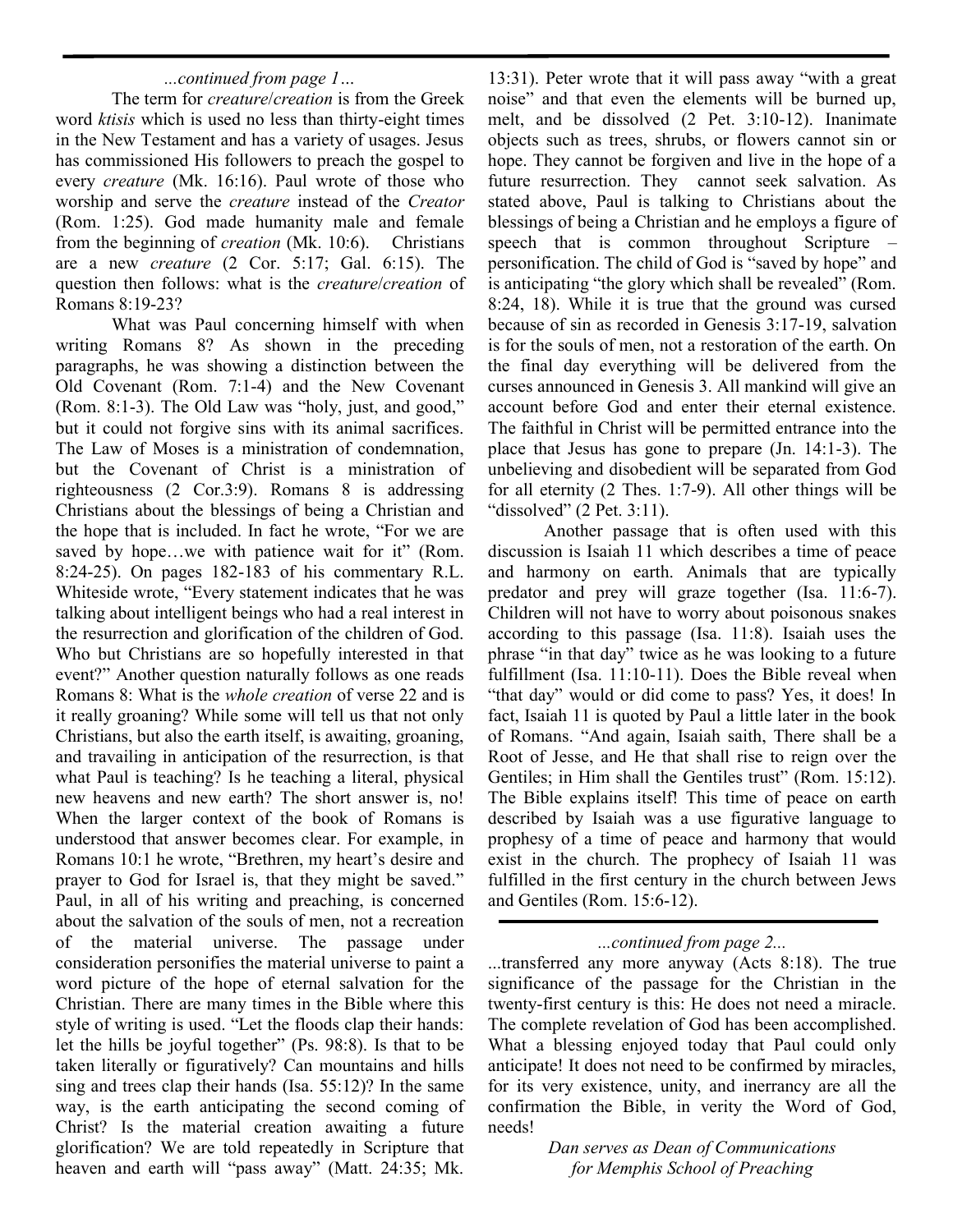## *...continued from page 1…*

The term for *creature*/*creation* is from the Greek word *ktisis* which is used no less than thirty-eight times in the New Testament and has a variety of usages. Jesus has commissioned His followers to preach the gospel to every *creature* (Mk. 16:16). Paul wrote of those who worship and serve the *creature* instead of the *Creator* (Rom. 1:25). God made humanity male and female from the beginning of *creation* (Mk. 10:6). Christians are a new *creature* (2 Cor. 5:17; Gal. 6:15). The question then follows: what is the *creature*/*creation* of Romans 8:19-23?

What was Paul concerning himself with when writing Romans 8? As shown in the preceding paragraphs, he was showing a distinction between the Old Covenant (Rom. 7:1-4) and the New Covenant (Rom. 8:1-3). The Old Law was "holy, just, and good," but it could not forgive sins with its animal sacrifices. The Law of Moses is a ministration of condemnation, but the Covenant of Christ is a ministration of righteousness (2 Cor.3:9). Romans 8 is addressing Christians about the blessings of being a Christian and the hope that is included. In fact he wrote, "For we are saved by hope...we with patience wait for it" (Rom. 8:24-25). On pages 182-183 of his commentary R.L. Whiteside wrote, "Every statement indicates that he was talking about intelligent beings who had a real interest in the resurrection and glorification of the children of God. Who but Christians are so hopefully interested in that event?" Another question naturally follows as one reads Romans 8: What is the *whole creation* of verse 22 and is it really groaning? While some will tell us that not only Christians, but also the earth itself, is awaiting, groaning, and travailing in anticipation of the resurrection, is that what Paul is teaching? Is he teaching a literal, physical new heavens and new earth? The short answer is, no! When the larger context of the book of Romans is understood that answer becomes clear. For example, in Romans 10:1 he wrote, "Brethren, my heart's desire and prayer to God for Israel is, that they might be saved." Paul, in all of his writing and preaching, is concerned about the salvation of the souls of men, not a recreation of the material universe. The passage under consideration personifies the material universe to paint a word picture of the hope of eternal salvation for the Christian. There are many times in the Bible where this style of writing is used. "Let the floods clap their hands: let the hills be joyful together" (Ps. 98:8). Is that to be taken literally or figuratively? Can mountains and hills sing and trees clap their hands (Isa. 55:12)? In the same way, is the earth anticipating the second coming of Christ? Is the material creation awaiting a future glorification? We are told repeatedly in Scripture that heaven and earth will "pass away" (Matt. 24:35; Mk.

13:31). Peter wrote that it will pass away "with a great noise" and that even the elements will be burned up, melt, and be dissolved (2 Pet. 3:10-12). Inanimate objects such as trees, shrubs, or flowers cannot sin or hope. They cannot be forgiven and live in the hope of a future resurrection. They cannot seek salvation. As stated above, Paul is talking to Christians about the blessings of being a Christian and he employs a figure of speech that is common throughout Scripture – personification. The child of God is "saved by hope" and is anticipating "the glory which shall be revealed" (Rom. 8:24, 18). While it is true that the ground was cursed because of sin as recorded in Genesis 3:17-19, salvation is for the souls of men, not a restoration of the earth. On the final day everything will be delivered from the curses announced in Genesis 3. All mankind will give an account before God and enter their eternal existence. The faithful in Christ will be permitted entrance into the place that Jesus has gone to prepare (Jn. 14:1-3). The unbelieving and disobedient will be separated from God for all eternity (2 Thes. 1:7-9). All other things will be "dissolved" (2 Pet. 3:11).

Another passage that is often used with this discussion is Isaiah 11 which describes a time of peace and harmony on earth. Animals that are typically predator and prey will graze together (Isa. 11:6-7). Children will not have to worry about poisonous snakes according to this passage (Isa. 11:8). Isaiah uses the phrase "in that day" twice as he was looking to a future fulfillment (Isa. 11:10-11). Does the Bible reveal when "that day" would or did come to pass? Yes, it does! In fact, Isaiah 11 is quoted by Paul a little later in the book of Romans. "And again, Isaiah saith, There shall be a Root of Jesse, and He that shall rise to reign over the Gentiles; in Him shall the Gentiles trust" (Rom. 15:12). The Bible explains itself! This time of peace on earth described by Isaiah was a use figurative language to prophesy of a time of peace and harmony that would exist in the church. The prophecy of Isaiah 11 was fulfilled in the first century in the church between Jews and Gentiles (Rom. 15:6-12).

### *...continued from page 2...*

...transferred any more anyway (Acts 8:18). The true significance of the passage for the Christian in the twenty-first century is this: He does not need a miracle. The complete revelation of God has been accomplished. What a blessing enjoyed today that Paul could only anticipate! It does not need to be confirmed by miracles, for its very existence, unity, and inerrancy are all the confirmation the Bible, in verity the Word of God, needs!

> *Dan serves as Dean of Communications for Memphis School of Preaching*